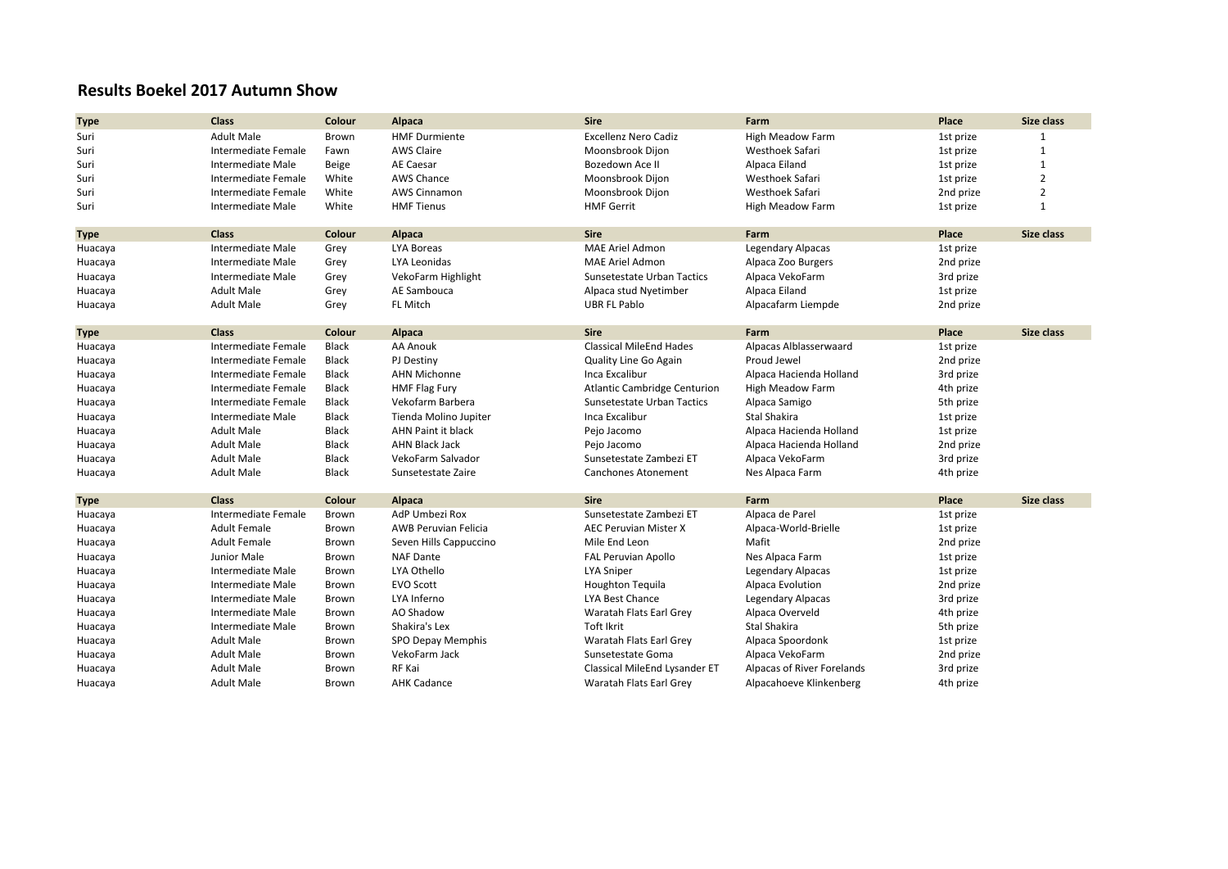## **Results Boekel 2017 Autumn Show**

| <b>Type</b> | <b>Class</b>             | Colour       | Alpaca                      | <b>Sire</b>                    | Farm                       | Place     | Size class     |
|-------------|--------------------------|--------------|-----------------------------|--------------------------------|----------------------------|-----------|----------------|
| Suri        | <b>Adult Male</b>        | Brown        | <b>HMF Durmiente</b>        | <b>Excellenz Nero Cadiz</b>    | High Meadow Farm           | 1st prize |                |
| Suri        | Intermediate Female      | Fawn         | <b>AWS Claire</b>           | Moonsbrook Dijon               | Westhoek Safari            | 1st prize | $\mathbf{1}$   |
| Suri        | Intermediate Male        | Beige        | AE Caesar                   | Bozedown Ace II                | Alpaca Eiland              | 1st prize | $\mathbf{1}$   |
| Suri        | Intermediate Female      | White        | <b>AWS Chance</b>           | Moonsbrook Dijon               | Westhoek Safari            | 1st prize | $\overline{2}$ |
| Suri        | Intermediate Female      | White        | <b>AWS Cinnamon</b>         | Moonsbrook Dijon               | Westhoek Safari            | 2nd prize | $\overline{2}$ |
| Suri        | Intermediate Male        | White        | <b>HMF Tienus</b>           | <b>HMF Gerrit</b>              | High Meadow Farm           | 1st prize | $\mathbf{1}$   |
|             |                          |              |                             |                                |                            |           |                |
| <b>Type</b> | <b>Class</b>             | Colour       | Alpaca                      | <b>Sire</b>                    | Farm                       | Place     | Size class     |
| Huacaya     | <b>Intermediate Male</b> | Grey         | LYA Boreas                  | <b>MAE Ariel Admon</b>         | Legendary Alpacas          | 1st prize |                |
| Huacaya     | Intermediate Male        | Grey         | LYA Leonidas                | <b>MAE Ariel Admon</b>         | Alpaca Zoo Burgers         | 2nd prize |                |
| Huacaya     | Intermediate Male        | Grey         | VekoFarm Highlight          | Sunsetestate Urban Tactics     | Alpaca VekoFarm            | 3rd prize |                |
| Huacaya     | <b>Adult Male</b>        | Grey         | AE Sambouca                 | Alpaca stud Nyetimber          | Alpaca Eiland              | 1st prize |                |
| Huacaya     | <b>Adult Male</b>        | Grey         | <b>FL Mitch</b>             | <b>UBR FL Pablo</b>            | Alpacafarm Liempde         | 2nd prize |                |
|             |                          |              |                             |                                |                            |           |                |
| <b>Type</b> | Class                    | Colour       | Alpaca                      | <b>Sire</b>                    | Farm                       | Place     | Size class     |
| Huacaya     | Intermediate Female      | Black        | AA Anouk                    | <b>Classical MileEnd Hades</b> | Alpacas Alblasserwaard     | 1st prize |                |
| Huacaya     | Intermediate Female      | Black        | PJ Destiny                  | Quality Line Go Again          | Proud Jewel                | 2nd prize |                |
| Huacaya     | Intermediate Female      | Black        | <b>AHN Michonne</b>         | Inca Excalibur                 | Alpaca Hacienda Holland    | 3rd prize |                |
| Huacaya     | Intermediate Female      | Black        | <b>HMF Flag Fury</b>        | Atlantic Cambridge Centurion   | High Meadow Farm           | 4th prize |                |
| Huacaya     | Intermediate Female      | <b>Black</b> | Vekofarm Barbera            | Sunsetestate Urban Tactics     | Alpaca Samigo              | 5th prize |                |
| Huacaya     | Intermediate Male        | Black        | Tienda Molino Jupiter       | Inca Excalibur                 | <b>Stal Shakira</b>        | 1st prize |                |
| Huacaya     | <b>Adult Male</b>        | Black        | <b>AHN Paint it black</b>   | Pejo Jacomo                    | Alpaca Hacienda Holland    | 1st prize |                |
| Huacaya     | <b>Adult Male</b>        | Black        | <b>AHN Black Jack</b>       | Pejo Jacomo                    | Alpaca Hacienda Holland    | 2nd prize |                |
| Huacaya     | <b>Adult Male</b>        | Black        | VekoFarm Salvador           | Sunsetestate Zambezi ET        | Alpaca VekoFarm            | 3rd prize |                |
| Huacaya     | <b>Adult Male</b>        | Black        | Sunsetestate Zaire          | Canchones Atonement            | Nes Alpaca Farm            | 4th prize |                |
|             |                          |              |                             |                                |                            |           |                |
| <b>Type</b> | <b>Class</b>             | Colour       | Alpaca                      | <b>Sire</b>                    | Farm                       | Place     | Size class     |
| Huacaya     | Intermediate Female      | Brown        | AdP Umbezi Rox              | Sunsetestate Zambezi ET        | Alpaca de Parel            | 1st prize |                |
| Huacaya     | <b>Adult Female</b>      | Brown        | <b>AWB Peruvian Felicia</b> | <b>AEC Peruvian Mister X</b>   | Alpaca-World-Brielle       | 1st prize |                |
| Huacaya     | <b>Adult Female</b>      | Brown        | Seven Hills Cappuccino      | Mile End Leon                  | Mafit                      | 2nd prize |                |
| Huacaya     | Junior Male              | Brown        | <b>NAF Dante</b>            | FAL Peruvian Apollo            | Nes Alpaca Farm            | 1st prize |                |
| Huacaya     | Intermediate Male        | Brown        | LYA Othello                 | <b>LYA Sniper</b>              | Legendary Alpacas          | 1st prize |                |
| Huacaya     | Intermediate Male        | Brown        | <b>EVO Scott</b>            | <b>Houghton Tequila</b>        | Alpaca Evolution           | 2nd prize |                |
| Huacaya     | Intermediate Male        | Brown        | LYA Inferno                 | LYA Best Chance                | Legendary Alpacas          | 3rd prize |                |
| Huacaya     | <b>Intermediate Male</b> | Brown        | AO Shadow                   | Waratah Flats Earl Grev        | Alpaca Overveld            | 4th prize |                |
| Huacaya     | Intermediate Male        | Brown        | Shakira's Lex               | <b>Toft Ikrit</b>              | <b>Stal Shakira</b>        | 5th prize |                |
| Huacaya     | <b>Adult Male</b>        | Brown        | SPO Depay Memphis           | Waratah Flats Earl Grey        | Alpaca Spoordonk           | 1st prize |                |
| Huacaya     | <b>Adult Male</b>        | Brown        | VekoFarm Jack               | Sunsetestate Goma              | Alpaca VekoFarm            | 2nd prize |                |
| Huacaya     | <b>Adult Male</b>        | Brown        | RF Kai                      | Classical MileEnd Lysander ET  | Alpacas of River Forelands | 3rd prize |                |
| Huacaya     | <b>Adult Male</b>        | Brown        | <b>AHK Cadance</b>          | Waratah Flats Earl Grev        | Alpacahoeve Klinkenberg    | 4th prize |                |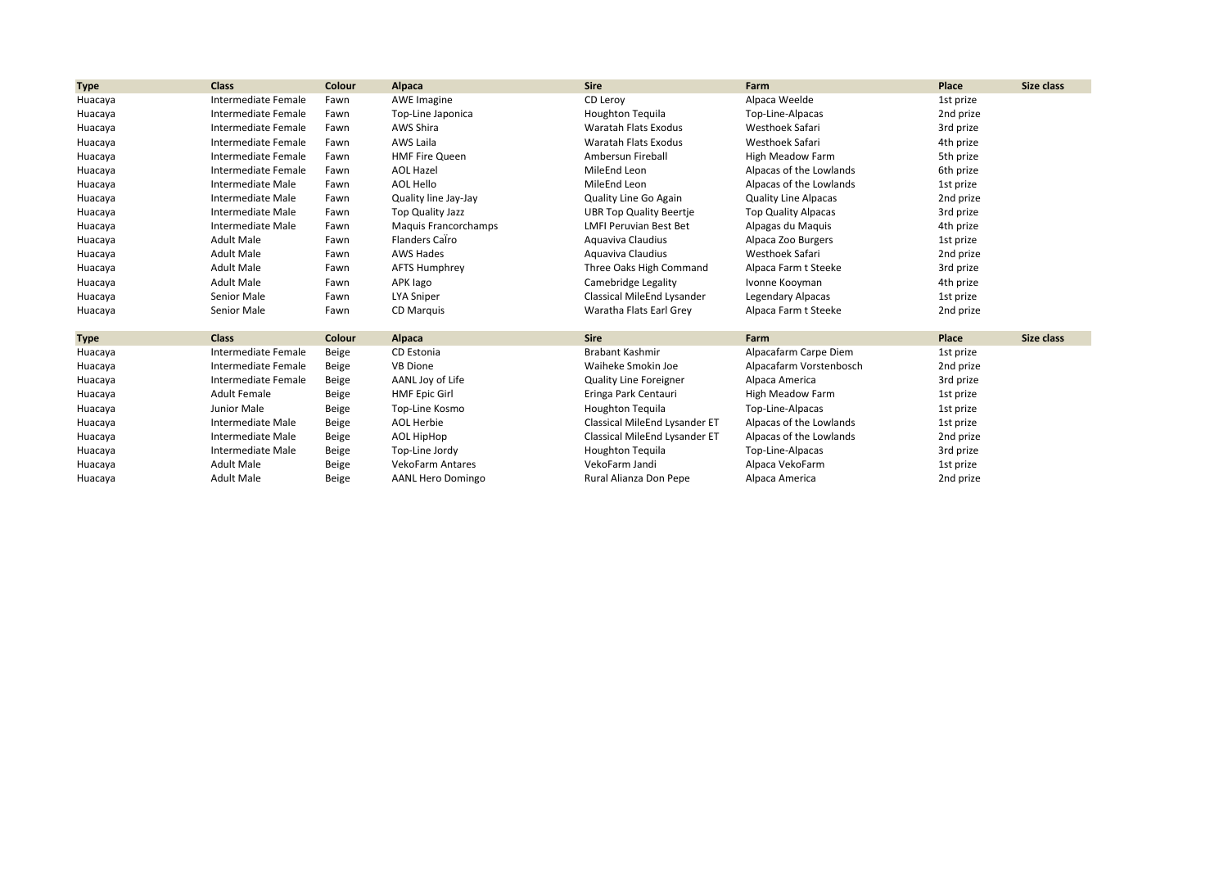| <b>Type</b> | <b>Class</b>        | Colour | Alpaca                      | <b>Sire</b>                    | Farm                        | Place     | Size class |
|-------------|---------------------|--------|-----------------------------|--------------------------------|-----------------------------|-----------|------------|
| Huacaya     | Intermediate Female | Fawn   | <b>AWE Imagine</b>          | CD Leroy                       | Alpaca Weelde               | 1st prize |            |
| Huacaya     | Intermediate Female | Fawn   | Top-Line Japonica           | <b>Houghton Tequila</b>        | Top-Line-Alpacas            | 2nd prize |            |
| Huacaya     | Intermediate Female | Fawn   | AWS Shira                   | Waratah Flats Exodus           | Westhoek Safari             | 3rd prize |            |
| Huacaya     | Intermediate Female | Fawn   | AWS Laila                   | Waratah Flats Exodus           | Westhoek Safari             | 4th prize |            |
| Huacaya     | Intermediate Female | Fawn   | <b>HMF Fire Queen</b>       | Ambersun Fireball              | High Meadow Farm            | 5th prize |            |
| Huacaya     | Intermediate Female | Fawn   | <b>AOL Hazel</b>            | MileEnd Leon                   | Alpacas of the Lowlands     | 6th prize |            |
| Huacaya     | Intermediate Male   | Fawn   | AOL Hello                   | MileEnd Leon                   | Alpacas of the Lowlands     | 1st prize |            |
| Huacaya     | Intermediate Male   | Fawn   | Quality line Jay-Jay        | Quality Line Go Again          | <b>Quality Line Alpacas</b> | 2nd prize |            |
| Huacaya     | Intermediate Male   | Fawn   | Top Quality Jazz            | <b>UBR Top Quality Beertie</b> | <b>Top Quality Alpacas</b>  | 3rd prize |            |
| Huacaya     | Intermediate Male   | Fawn   | <b>Maguis Francorchamps</b> | <b>LMFI Peruvian Best Bet</b>  | Alpagas du Maquis           | 4th prize |            |
| Huacaya     | <b>Adult Male</b>   | Fawn   | Flanders Calro              | Aguaviva Claudius              | Alpaca Zoo Burgers          | 1st prize |            |
| Huacaya     | <b>Adult Male</b>   | Fawn   | <b>AWS Hades</b>            | Aquaviva Claudius              | Westhoek Safari             | 2nd prize |            |
| Huacaya     | <b>Adult Male</b>   | Fawn   | <b>AFTS Humphrey</b>        | Three Oaks High Command        | Alpaca Farm t Steeke        | 3rd prize |            |
| Huacaya     | <b>Adult Male</b>   | Fawn   | APK lago                    | Camebridge Legality            | Ivonne Kooyman              | 4th prize |            |
| Huacaya     | Senior Male         | Fawn   | <b>LYA Sniper</b>           | Classical MileEnd Lysander     | Legendary Alpacas           | 1st prize |            |
| Huacaya     | Senior Male         | Fawn   | <b>CD Marquis</b>           | Waratha Flats Earl Grey        | Alpaca Farm t Steeke        | 2nd prize |            |
| <b>Type</b> | <b>Class</b>        | Colour | Alpaca                      | Sire                           | Farm                        | Place     | Size class |
| Huacaya     | Intermediate Female | Beige  | CD Estonia                  | <b>Brabant Kashmir</b>         | Alpacafarm Carpe Diem       | 1st prize |            |
| Huacaya     | Intermediate Female | Beige  | <b>VB Dione</b>             | Waiheke Smokin Joe             | Alpacafarm Vorstenbosch     | 2nd prize |            |
| Huacaya     | Intermediate Female | Beige  | AANL Joy of Life            | <b>Quality Line Foreigner</b>  | Alpaca America              | 3rd prize |            |
| Huacaya     | <b>Adult Female</b> | Beige  | <b>HMF Epic Girl</b>        | Eringa Park Centauri           | High Meadow Farm            | 1st prize |            |
| Huacaya     | Junior Male         | Beige  | Top-Line Kosmo              | <b>Houghton Tequila</b>        | Top-Line-Alpacas            | 1st prize |            |
| Huacaya     | Intermediate Male   | Beige  | <b>AOL Herbie</b>           | Classical MileEnd Lysander ET  | Alpacas of the Lowlands     | 1st prize |            |
| Huacaya     | Intermediate Male   | Beige  | AOL HipHop                  | Classical MileEnd Lysander ET  | Alpacas of the Lowlands     | 2nd prize |            |
| Huacaya     | Intermediate Male   | Beige  | Top-Line Jordy              | <b>Houghton Tequila</b>        | Top-Line-Alpacas            | 3rd prize |            |
| Huacaya     | <b>Adult Male</b>   | Beige  | <b>VekoFarm Antares</b>     | VekoFarm Jandi                 | Alpaca VekoFarm             | 1st prize |            |
| Huacaya     | <b>Adult Male</b>   | Beige  | <b>AANL Hero Domingo</b>    | Rural Alianza Don Pepe         | Alpaca America              | 2nd prize |            |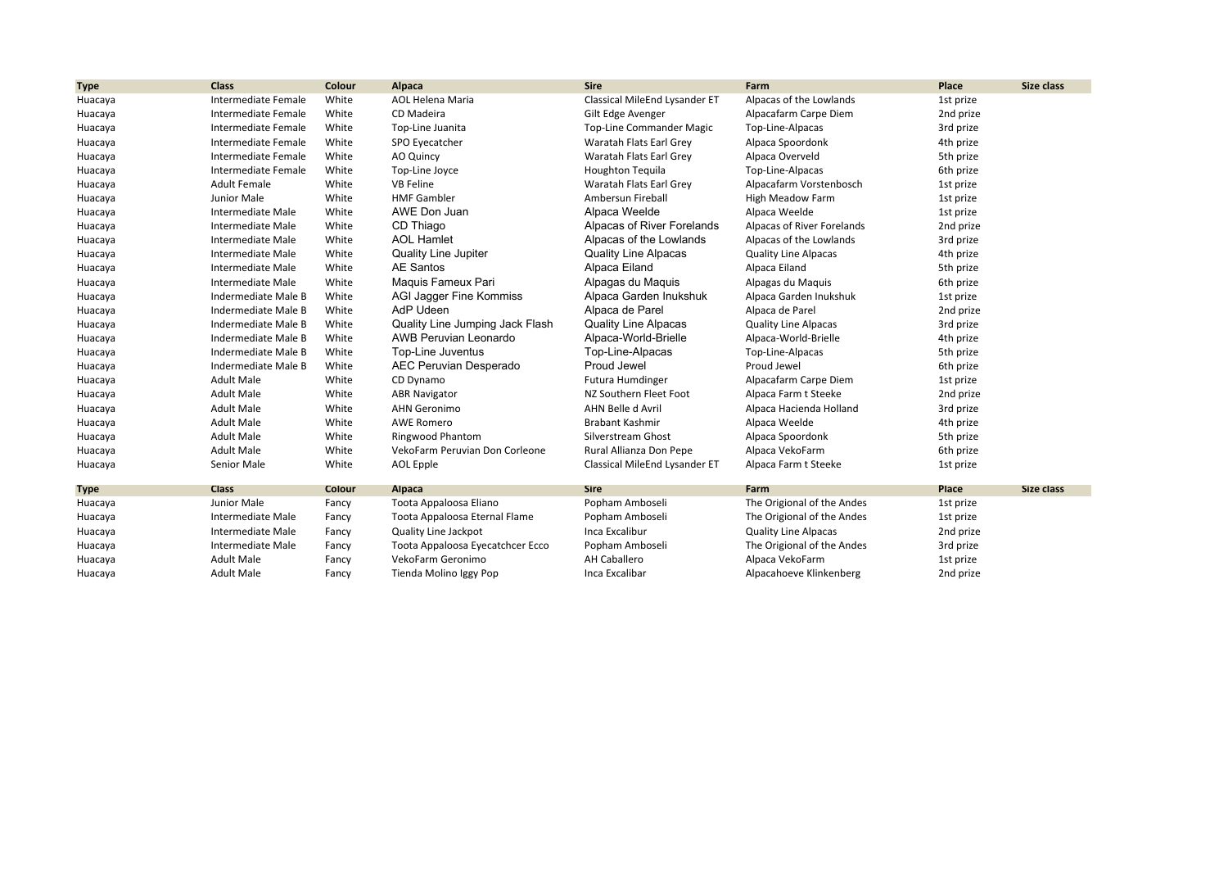| <b>Type</b> | <b>Class</b>        | Colour | <b>Alpaca</b>                    | <b>Sire</b>                     | Farm                        | Place     | Size class |
|-------------|---------------------|--------|----------------------------------|---------------------------------|-----------------------------|-----------|------------|
| Huacaya     | Intermediate Female | White  | <b>AOL Helena Maria</b>          | Classical MileEnd Lysander ET   | Alpacas of the Lowlands     | 1st prize |            |
| Huacaya     | Intermediate Female | White  | CD Madeira                       | Gilt Edge Avenger               | Alpacafarm Carpe Diem       | 2nd prize |            |
| Huacaya     | Intermediate Female | White  | Top-Line Juanita                 | <b>Top-Line Commander Magic</b> | Top-Line-Alpacas            | 3rd prize |            |
| Huacaya     | Intermediate Female | White  | SPO Eyecatcher                   | Waratah Flats Earl Grey         | Alpaca Spoordonk            | 4th prize |            |
| Huacaya     | Intermediate Female | White  | AO Quincy                        | Waratah Flats Earl Grey         | Alpaca Overveld             | 5th prize |            |
| Huacaya     | Intermediate Female | White  | Top-Line Joyce                   | <b>Houghton Tequila</b>         | Top-Line-Alpacas            | 6th prize |            |
| Huacaya     | <b>Adult Female</b> | White  | <b>VB Feline</b>                 | Waratah Flats Earl Grey         | Alpacafarm Vorstenbosch     | 1st prize |            |
| Huacaya     | Junior Male         | White  | <b>HMF Gambler</b>               | Ambersun Fireball               | High Meadow Farm            | 1st prize |            |
| Huacaya     | Intermediate Male   | White  | AWE Don Juan                     | Alpaca Weelde                   | Alpaca Weelde               | 1st prize |            |
| Huacaya     | Intermediate Male   | White  | CD Thiago                        | Alpacas of River Forelands      | Alpacas of River Forelands  | 2nd prize |            |
| Huacaya     | Intermediate Male   | White  | <b>AOL Hamlet</b>                | Alpacas of the Lowlands         | Alpacas of the Lowlands     | 3rd prize |            |
| Huacaya     | Intermediate Male   | White  | <b>Quality Line Jupiter</b>      | <b>Quality Line Alpacas</b>     | <b>Quality Line Alpacas</b> | 4th prize |            |
| Huacaya     | Intermediate Male   | White  | <b>AE Santos</b>                 | Alpaca Eiland                   | Alpaca Eiland               | 5th prize |            |
| Huacaya     | Intermediate Male   | White  | Maguis Fameux Pari               | Alpagas du Maquis               | Alpagas du Maquis           | 6th prize |            |
| Huacaya     | Indermediate Male B | White  | AGI Jagger Fine Kommiss          | Alpaca Garden Inukshuk          | Alpaca Garden Inukshuk      | 1st prize |            |
| Huacaya     | Indermediate Male B | White  | AdP Udeen                        | Alpaca de Parel                 | Alpaca de Parel             | 2nd prize |            |
| Huacaya     | Indermediate Male B | White  | Quality Line Jumping Jack Flash  | <b>Quality Line Alpacas</b>     | <b>Quality Line Alpacas</b> | 3rd prize |            |
| Huacaya     | Indermediate Male B | White  | <b>AWB Peruvian Leonardo</b>     | Alpaca-World-Brielle            | Alpaca-World-Brielle        | 4th prize |            |
| Huacaya     | Indermediate Male B | White  | Top-Line Juventus                | Top-Line-Alpacas                | Top-Line-Alpacas            | 5th prize |            |
| Huacaya     | Indermediate Male B | White  | <b>AEC Peruvian Desperado</b>    | Proud Jewel                     | Proud Jewel                 | 6th prize |            |
| Huacaya     | <b>Adult Male</b>   | White  | CD Dynamo                        | Futura Humdinger                | Alpacafarm Carpe Diem       | 1st prize |            |
| Huacaya     | <b>Adult Male</b>   | White  | <b>ABR Navigator</b>             | NZ Southern Fleet Foot          | Alpaca Farm t Steeke        | 2nd prize |            |
| Huacaya     | <b>Adult Male</b>   | White  | <b>AHN Geronimo</b>              | AHN Belle d Avril               | Alpaca Hacienda Holland     | 3rd prize |            |
| Huacaya     | <b>Adult Male</b>   | White  | <b>AWE Romero</b>                | <b>Brabant Kashmir</b>          | Alpaca Weelde               | 4th prize |            |
| Huacaya     | <b>Adult Male</b>   | White  | Ringwood Phantom                 | Silverstream Ghost              | Alpaca Spoordonk            | 5th prize |            |
| Huacaya     | <b>Adult Male</b>   | White  | VekoFarm Peruvian Don Corleone   | Rural Allianza Don Pepe         | Alpaca VekoFarm             | 6th prize |            |
| Huacaya     | Senior Male         | White  | AOL Epple                        | Classical MileEnd Lysander ET   | Alpaca Farm t Steeke        | 1st prize |            |
| <b>Type</b> | <b>Class</b>        | Colour | Alpaca                           | <b>Sire</b>                     | Farm                        | Place     | Size class |
| Huacaya     | Junior Male         | Fancy  | Toota Appaloosa Eliano           | Popham Amboseli                 | The Origional of the Andes  | 1st prize |            |
| Huacaya     | Intermediate Male   | Fancy  | Toota Appaloosa Eternal Flame    | Popham Amboseli                 | The Origional of the Andes  | 1st prize |            |
| Huacaya     | Intermediate Male   | Fancy  | Quality Line Jackpot             | Inca Excalibur                  | <b>Quality Line Alpacas</b> | 2nd prize |            |
| Huacaya     | Intermediate Male   | Fancy  | Toota Appaloosa Eyecatchcer Ecco | Popham Amboseli                 | The Origional of the Andes  | 3rd prize |            |
| Huacaya     | <b>Adult Male</b>   | Fancy  | VekoFarm Geronimo                | <b>AH Caballero</b>             | Alpaca VekoFarm             | 1st prize |            |
| Huacaya     | <b>Adult Male</b>   | Fancy  | Tienda Molino Iggy Pop           | Inca Excalibar                  | Alpacahoeve Klinkenberg     | 2nd prize |            |